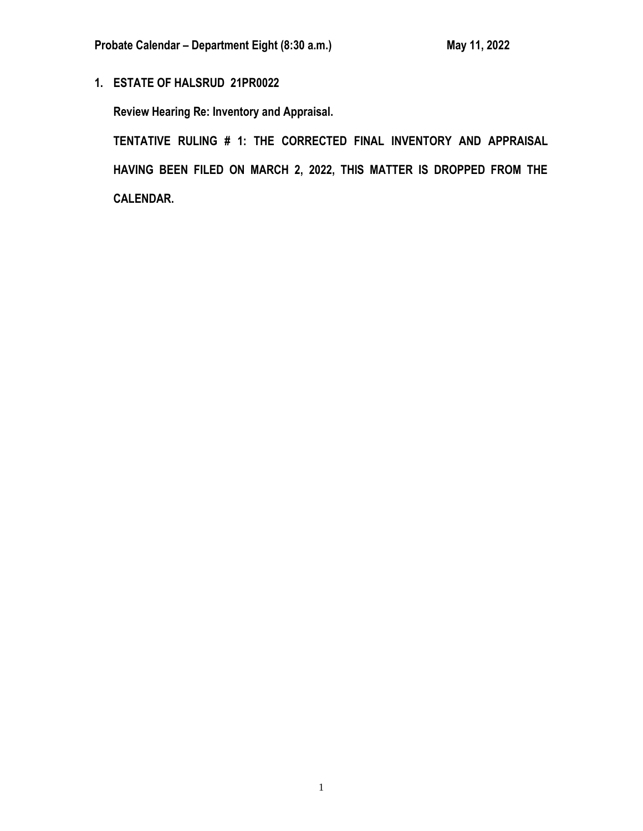**1. ESTATE OF HALSRUD 21PR0022**

**Review Hearing Re: Inventory and Appraisal.**

**TENTATIVE RULING # 1: THE CORRECTED FINAL INVENTORY AND APPRAISAL HAVING BEEN FILED ON MARCH 2, 2022, THIS MATTER IS DROPPED FROM THE CALENDAR.**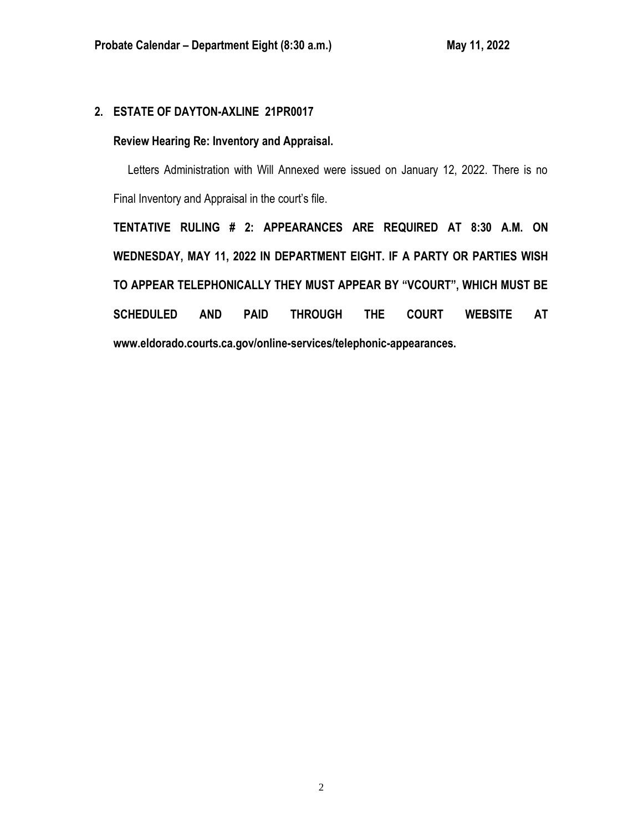# **2. ESTATE OF DAYTON-AXLINE 21PR0017**

## **Review Hearing Re: Inventory and Appraisal.**

 Letters Administration with Will Annexed were issued on January 12, 2022. There is no Final Inventory and Appraisal in the court's file.

**TENTATIVE RULING # 2: APPEARANCES ARE REQUIRED AT 8:30 A.M. ON WEDNESDAY, MAY 11, 2022 IN DEPARTMENT EIGHT. IF A PARTY OR PARTIES WISH TO APPEAR TELEPHONICALLY THEY MUST APPEAR BY "VCOURT", WHICH MUST BE SCHEDULED AND PAID THROUGH THE COURT WEBSITE AT www.eldorado.courts.ca.gov/online-services/telephonic-appearances.**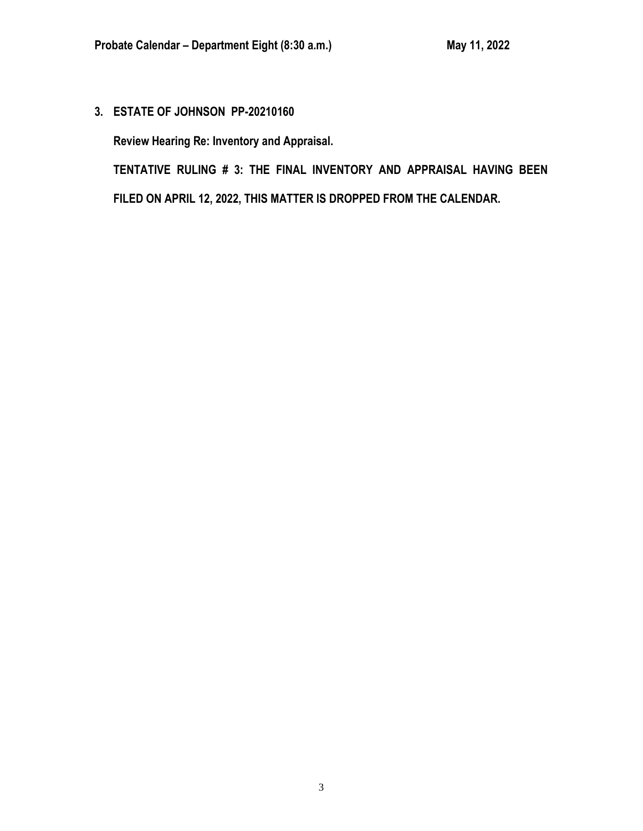**3. ESTATE OF JOHNSON PP-20210160**

**Review Hearing Re: Inventory and Appraisal.**

**TENTATIVE RULING # 3: THE FINAL INVENTORY AND APPRAISAL HAVING BEEN FILED ON APRIL 12, 2022, THIS MATTER IS DROPPED FROM THE CALENDAR.**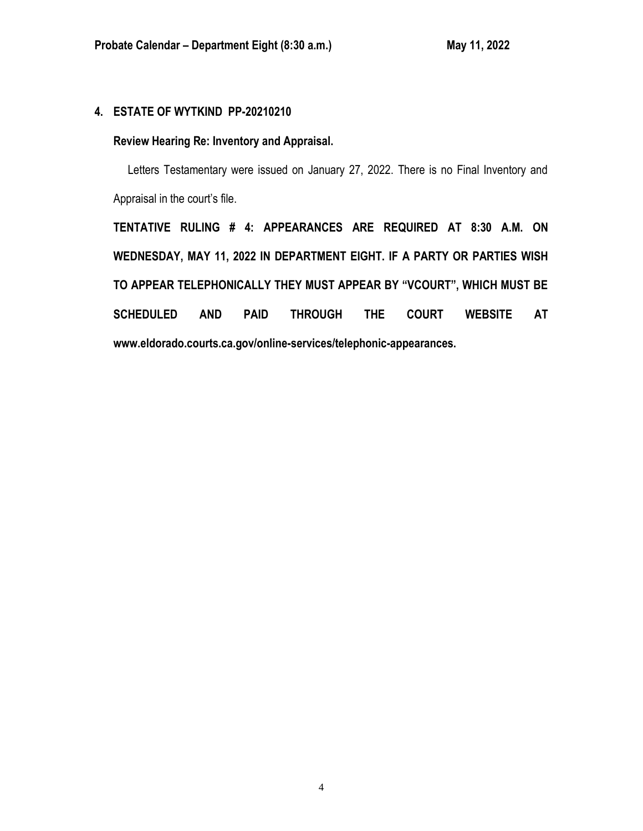# **4. ESTATE OF WYTKIND PP-20210210**

## **Review Hearing Re: Inventory and Appraisal.**

 Letters Testamentary were issued on January 27, 2022. There is no Final Inventory and Appraisal in the court's file.

**TENTATIVE RULING # 4: APPEARANCES ARE REQUIRED AT 8:30 A.M. ON WEDNESDAY, MAY 11, 2022 IN DEPARTMENT EIGHT. IF A PARTY OR PARTIES WISH TO APPEAR TELEPHONICALLY THEY MUST APPEAR BY "VCOURT", WHICH MUST BE SCHEDULED AND PAID THROUGH THE COURT WEBSITE AT www.eldorado.courts.ca.gov/online-services/telephonic-appearances.**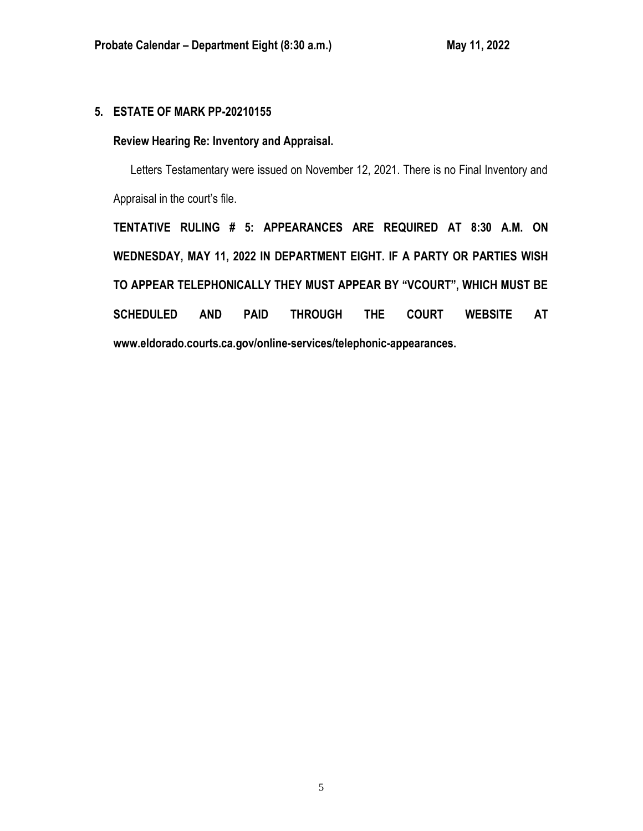# **5. ESTATE OF MARK PP-20210155**

## **Review Hearing Re: Inventory and Appraisal.**

 Letters Testamentary were issued on November 12, 2021. There is no Final Inventory and Appraisal in the court's file.

**TENTATIVE RULING # 5: APPEARANCES ARE REQUIRED AT 8:30 A.M. ON WEDNESDAY, MAY 11, 2022 IN DEPARTMENT EIGHT. IF A PARTY OR PARTIES WISH TO APPEAR TELEPHONICALLY THEY MUST APPEAR BY "VCOURT", WHICH MUST BE SCHEDULED AND PAID THROUGH THE COURT WEBSITE AT [www.eldorado.courts.ca.gov/online-services/telephonic-appearances.](http://www.eldorado.courts.ca.gov/online-services/telephonic-appearances)**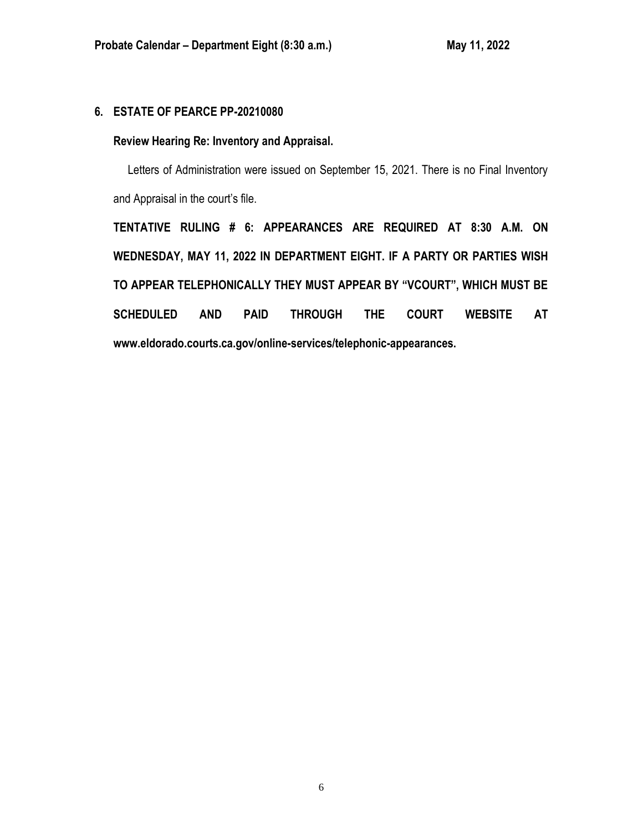# **6. ESTATE OF PEARCE PP-20210080**

## **Review Hearing Re: Inventory and Appraisal.**

 Letters of Administration were issued on September 15, 2021. There is no Final Inventory and Appraisal in the court's file.

**TENTATIVE RULING # 6: APPEARANCES ARE REQUIRED AT 8:30 A.M. ON WEDNESDAY, MAY 11, 2022 IN DEPARTMENT EIGHT. IF A PARTY OR PARTIES WISH TO APPEAR TELEPHONICALLY THEY MUST APPEAR BY "VCOURT", WHICH MUST BE SCHEDULED AND PAID THROUGH THE COURT WEBSITE AT www.eldorado.courts.ca.gov/online-services/telephonic-appearances.**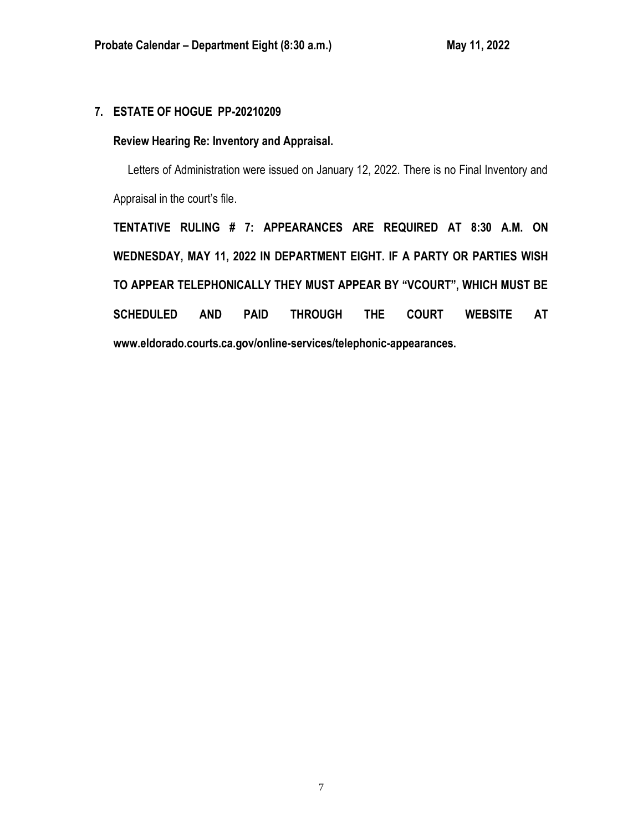# **7. ESTATE OF HOGUE PP-20210209**

## **Review Hearing Re: Inventory and Appraisal.**

 Letters of Administration were issued on January 12, 2022. There is no Final Inventory and Appraisal in the court's file.

**TENTATIVE RULING # 7: APPEARANCES ARE REQUIRED AT 8:30 A.M. ON WEDNESDAY, MAY 11, 2022 IN DEPARTMENT EIGHT. IF A PARTY OR PARTIES WISH TO APPEAR TELEPHONICALLY THEY MUST APPEAR BY "VCOURT", WHICH MUST BE SCHEDULED AND PAID THROUGH THE COURT WEBSITE AT www.eldorado.courts.ca.gov/online-services/telephonic-appearances.**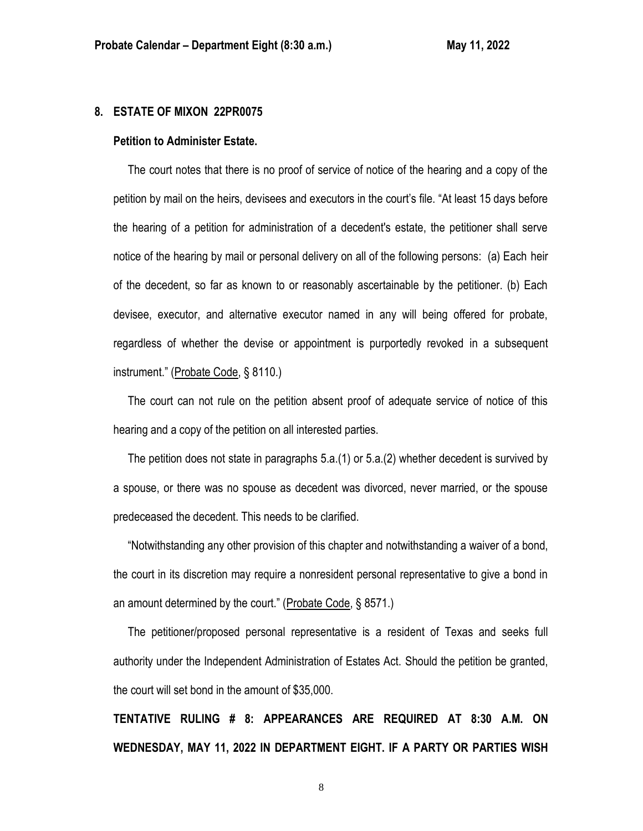### **8. ESTATE OF MIXON 22PR0075**

#### **Petition to Administer Estate.**

 The court notes that there is no proof of service of notice of the hearing and a copy of the petition by mail on the heirs, devisees and executors in the court's file. "At least 15 days before the hearing of a petition for administration of a decedent's estate, the petitioner shall serve notice of the hearing by mail or personal delivery on all of the following persons: (a) Each heir of the decedent, so far as known to or reasonably ascertainable by the petitioner. (b) Each devisee, executor, and alternative executor named in any will being offered for probate, regardless of whether the devise or appointment is purportedly revoked in a subsequent instrument." (Probate Code, § 8110.)

 The court can not rule on the petition absent proof of adequate service of notice of this hearing and a copy of the petition on all interested parties.

 The petition does not state in paragraphs 5.a.(1) or 5.a.(2) whether decedent is survived by a spouse, or there was no spouse as decedent was divorced, never married, or the spouse predeceased the decedent. This needs to be clarified.

 "Notwithstanding any other provision of this chapter and notwithstanding a waiver of a bond, the court in its discretion may require a nonresident personal representative to give a bond in an amount determined by the court." (Probate Code, § 8571.)

 The petitioner/proposed personal representative is a resident of Texas and seeks full authority under the Independent Administration of Estates Act. Should the petition be granted, the court will set bond in the amount of \$35,000.

**TENTATIVE RULING # 8: APPEARANCES ARE REQUIRED AT 8:30 A.M. ON WEDNESDAY, MAY 11, 2022 IN DEPARTMENT EIGHT. IF A PARTY OR PARTIES WISH**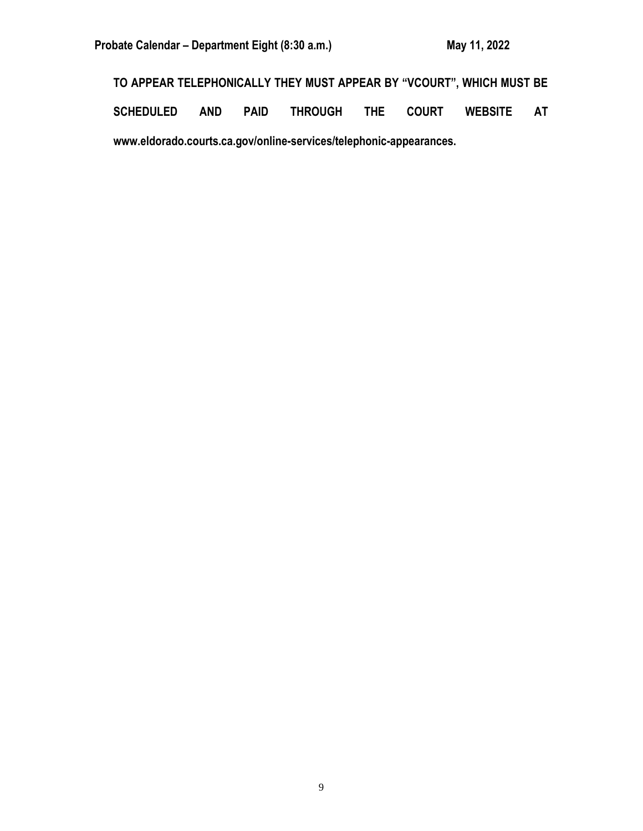Probate Calendar – Department Eight (8:30 a.m.) May 11, 2022

**TO APPEAR TELEPHONICALLY THEY MUST APPEAR BY "VCOURT", WHICH MUST BE** 

**SCHEDULED AND PAID THROUGH THE COURT WEBSITE AT www.eldorado.courts.ca.gov/online-services/telephonic-appearances.**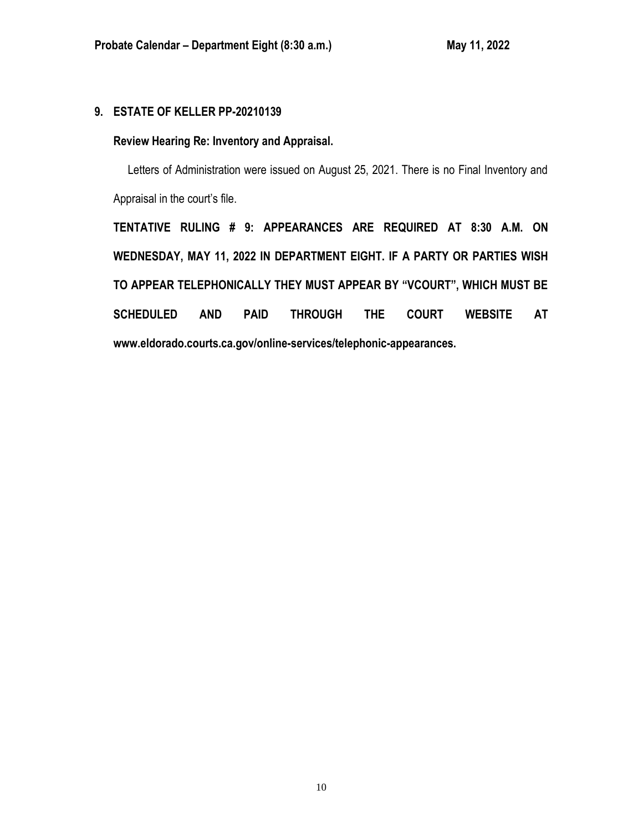# **9. ESTATE OF KELLER PP-20210139**

## **Review Hearing Re: Inventory and Appraisal.**

Letters of Administration were issued on August 25, 2021. There is no Final Inventory and Appraisal in the court's file.

**TENTATIVE RULING # 9: APPEARANCES ARE REQUIRED AT 8:30 A.M. ON WEDNESDAY, MAY 11, 2022 IN DEPARTMENT EIGHT. IF A PARTY OR PARTIES WISH TO APPEAR TELEPHONICALLY THEY MUST APPEAR BY "VCOURT", WHICH MUST BE SCHEDULED AND PAID THROUGH THE COURT WEBSITE AT www.eldorado.courts.ca.gov/online-services/telephonic-appearances.**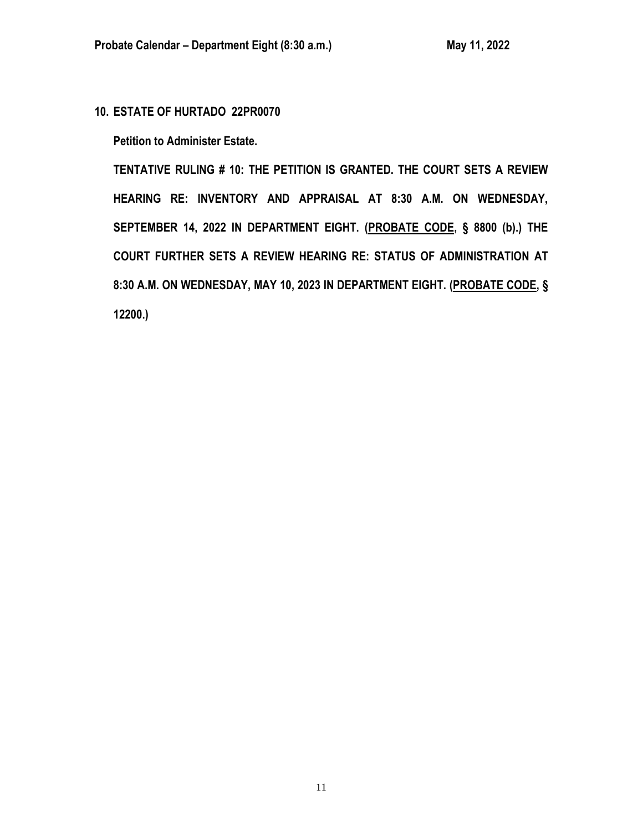**10. ESTATE OF HURTADO 22PR0070**

**Petition to Administer Estate.**

**TENTATIVE RULING # 10: THE PETITION IS GRANTED. THE COURT SETS A REVIEW HEARING RE: INVENTORY AND APPRAISAL AT 8:30 A.M. ON WEDNESDAY, SEPTEMBER 14, 2022 IN DEPARTMENT EIGHT. (PROBATE CODE, § 8800 (b).) THE COURT FURTHER SETS A REVIEW HEARING RE: STATUS OF ADMINISTRATION AT 8:30 A.M. ON WEDNESDAY, MAY 10, 2023 IN DEPARTMENT EIGHT. (PROBATE CODE, § 12200.)**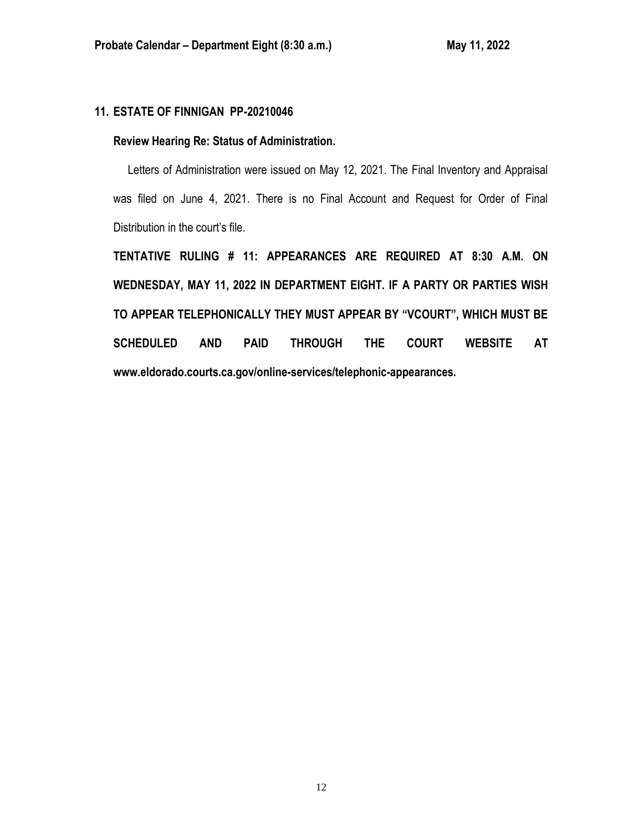# **11. ESTATE OF FINNIGAN PP-20210046**

### **Review Hearing Re: Status of Administration.**

 Letters of Administration were issued on May 12, 2021. The Final Inventory and Appraisal was filed on June 4, 2021. There is no Final Account and Request for Order of Final Distribution in the court's file.

**TENTATIVE RULING # 11: APPEARANCES ARE REQUIRED AT 8:30 A.M. ON WEDNESDAY, MAY 11, 2022 IN DEPARTMENT EIGHT. IF A PARTY OR PARTIES WISH TO APPEAR TELEPHONICALLY THEY MUST APPEAR BY "VCOURT", WHICH MUST BE SCHEDULED AND PAID THROUGH THE COURT WEBSITE AT www.eldorado.courts.ca.gov/online-services/telephonic-appearances.**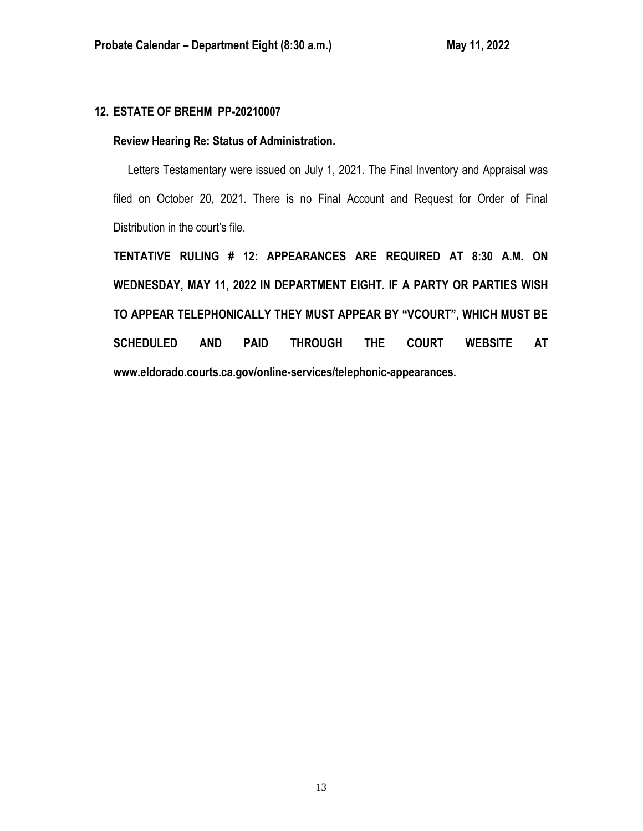# **12. ESTATE OF BREHM PP-20210007**

### **Review Hearing Re: Status of Administration.**

 Letters Testamentary were issued on July 1, 2021. The Final Inventory and Appraisal was filed on October 20, 2021. There is no Final Account and Request for Order of Final Distribution in the court's file.

**TENTATIVE RULING # 12: APPEARANCES ARE REQUIRED AT 8:30 A.M. ON WEDNESDAY, MAY 11, 2022 IN DEPARTMENT EIGHT. IF A PARTY OR PARTIES WISH TO APPEAR TELEPHONICALLY THEY MUST APPEAR BY "VCOURT", WHICH MUST BE SCHEDULED AND PAID THROUGH THE COURT WEBSITE AT www.eldorado.courts.ca.gov/online-services/telephonic-appearances.**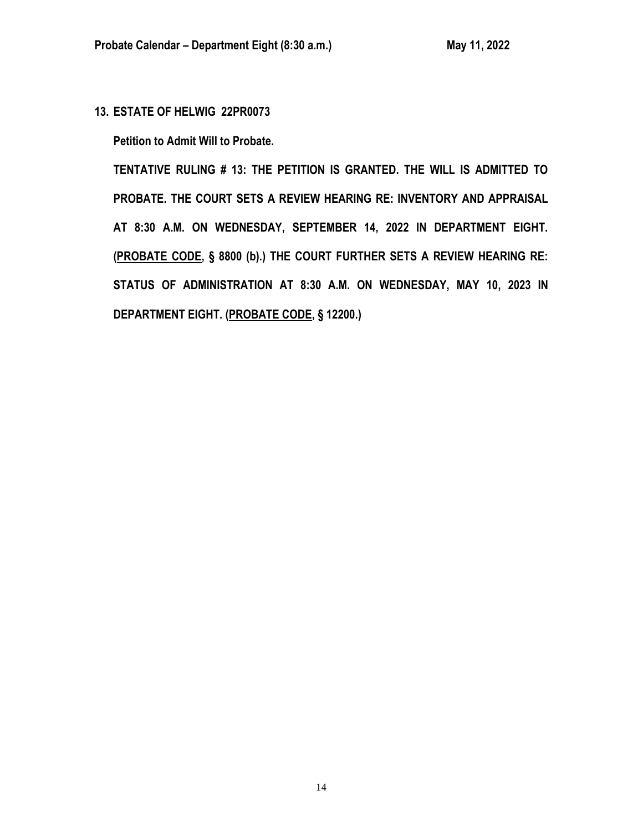**13. ESTATE OF HELWIG 22PR0073**

**Petition to Admit Will to Probate.**

**TENTATIVE RULING # 13: THE PETITION IS GRANTED. THE WILL IS ADMITTED TO PROBATE. THE COURT SETS A REVIEW HEARING RE: INVENTORY AND APPRAISAL AT 8:30 A.M. ON WEDNESDAY, SEPTEMBER 14, 2022 IN DEPARTMENT EIGHT. (PROBATE CODE, § 8800 (b).) THE COURT FURTHER SETS A REVIEW HEARING RE: STATUS OF ADMINISTRATION AT 8:30 A.M. ON WEDNESDAY, MAY 10, 2023 IN DEPARTMENT EIGHT. (PROBATE CODE, § 12200.)**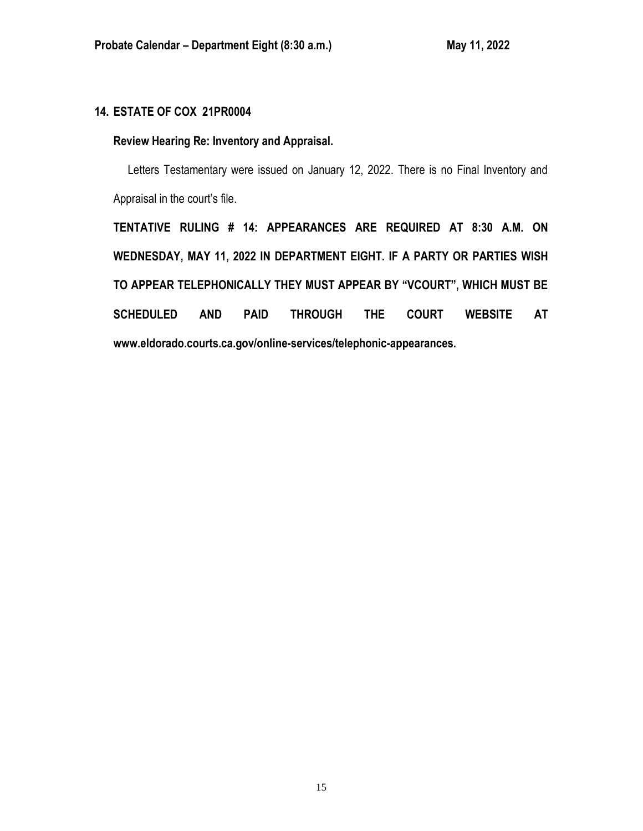# **14. ESTATE OF COX 21PR0004**

## **Review Hearing Re: Inventory and Appraisal.**

 Letters Testamentary were issued on January 12, 2022. There is no Final Inventory and Appraisal in the court's file.

**TENTATIVE RULING # 14: APPEARANCES ARE REQUIRED AT 8:30 A.M. ON WEDNESDAY, MAY 11, 2022 IN DEPARTMENT EIGHT. IF A PARTY OR PARTIES WISH TO APPEAR TELEPHONICALLY THEY MUST APPEAR BY "VCOURT", WHICH MUST BE SCHEDULED AND PAID THROUGH THE COURT WEBSITE AT www.eldorado.courts.ca.gov/online-services/telephonic-appearances.**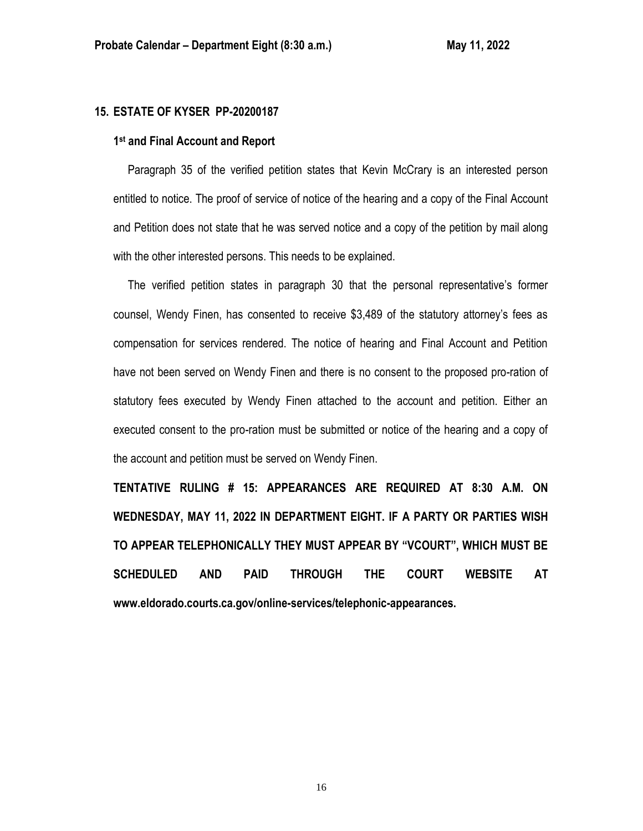### **15. ESTATE OF KYSER PP-20200187**

### **1 st and Final Account and Report**

 Paragraph 35 of the verified petition states that Kevin McCrary is an interested person entitled to notice. The proof of service of notice of the hearing and a copy of the Final Account and Petition does not state that he was served notice and a copy of the petition by mail along with the other interested persons. This needs to be explained.

 The verified petition states in paragraph 30 that the personal representative's former counsel, Wendy Finen, has consented to receive \$3,489 of the statutory attorney's fees as compensation for services rendered. The notice of hearing and Final Account and Petition have not been served on Wendy Finen and there is no consent to the proposed pro-ration of statutory fees executed by Wendy Finen attached to the account and petition. Either an executed consent to the pro-ration must be submitted or notice of the hearing and a copy of the account and petition must be served on Wendy Finen.

**TENTATIVE RULING # 15: APPEARANCES ARE REQUIRED AT 8:30 A.M. ON WEDNESDAY, MAY 11, 2022 IN DEPARTMENT EIGHT. IF A PARTY OR PARTIES WISH TO APPEAR TELEPHONICALLY THEY MUST APPEAR BY "VCOURT", WHICH MUST BE SCHEDULED AND PAID THROUGH THE COURT WEBSITE AT www.eldorado.courts.ca.gov/online-services/telephonic-appearances.**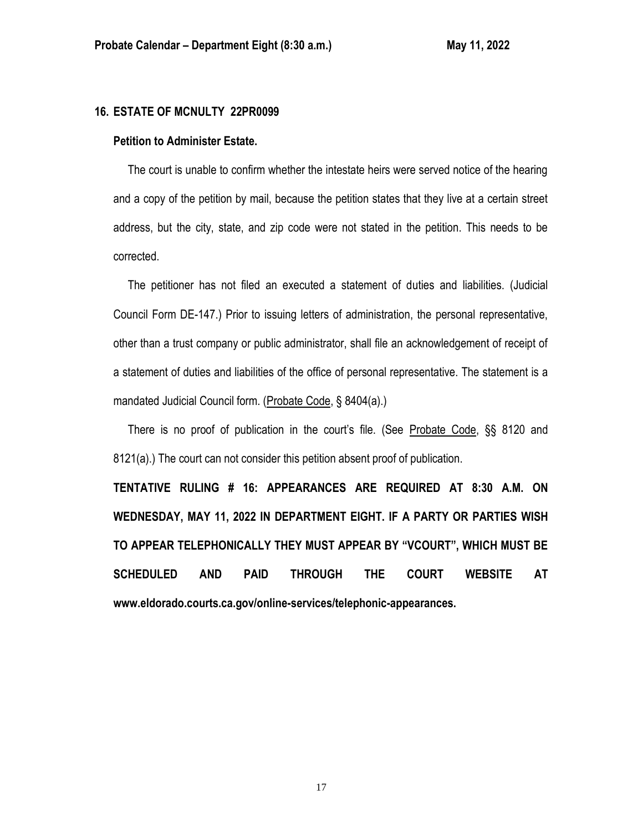#### **16. ESTATE OF MCNULTY 22PR0099**

### **Petition to Administer Estate.**

 The court is unable to confirm whether the intestate heirs were served notice of the hearing and a copy of the petition by mail, because the petition states that they live at a certain street address, but the city, state, and zip code were not stated in the petition. This needs to be corrected.

 The petitioner has not filed an executed a statement of duties and liabilities. (Judicial Council Form DE-147.) Prior to issuing letters of administration, the personal representative, other than a trust company or public administrator, shall file an acknowledgement of receipt of a statement of duties and liabilities of the office of personal representative. The statement is a mandated Judicial Council form. (Probate Code, § 8404(a).)

 There is no proof of publication in the court's file. (See Probate Code, §§ 8120 and 8121(a).) The court can not consider this petition absent proof of publication.

**TENTATIVE RULING # 16: APPEARANCES ARE REQUIRED AT 8:30 A.M. ON WEDNESDAY, MAY 11, 2022 IN DEPARTMENT EIGHT. IF A PARTY OR PARTIES WISH TO APPEAR TELEPHONICALLY THEY MUST APPEAR BY "VCOURT", WHICH MUST BE SCHEDULED AND PAID THROUGH THE COURT WEBSITE AT www.eldorado.courts.ca.gov/online-services/telephonic-appearances.**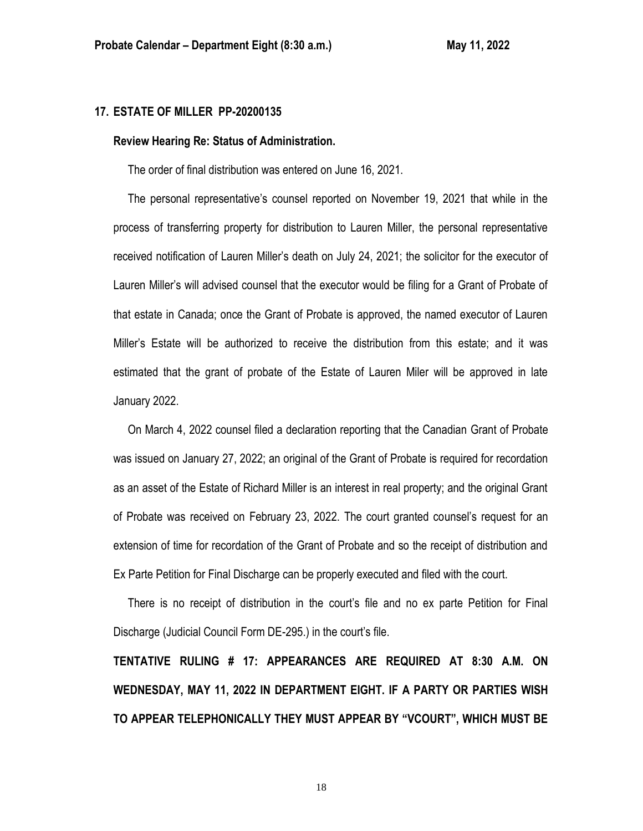### **17. ESTATE OF MILLER PP-20200135**

#### **Review Hearing Re: Status of Administration.**

The order of final distribution was entered on June 16, 2021.

 The personal representative's counsel reported on November 19, 2021 that while in the process of transferring property for distribution to Lauren Miller, the personal representative received notification of Lauren Miller's death on July 24, 2021; the solicitor for the executor of Lauren Miller's will advised counsel that the executor would be filing for a Grant of Probate of that estate in Canada; once the Grant of Probate is approved, the named executor of Lauren Miller's Estate will be authorized to receive the distribution from this estate; and it was estimated that the grant of probate of the Estate of Lauren Miler will be approved in late January 2022.

 On March 4, 2022 counsel filed a declaration reporting that the Canadian Grant of Probate was issued on January 27, 2022; an original of the Grant of Probate is required for recordation as an asset of the Estate of Richard Miller is an interest in real property; and the original Grant of Probate was received on February 23, 2022. The court granted counsel's request for an extension of time for recordation of the Grant of Probate and so the receipt of distribution and Ex Parte Petition for Final Discharge can be properly executed and filed with the court.

 There is no receipt of distribution in the court's file and no ex parte Petition for Final Discharge (Judicial Council Form DE-295.) in the court's file.

**TENTATIVE RULING # 17: APPEARANCES ARE REQUIRED AT 8:30 A.M. ON WEDNESDAY, MAY 11, 2022 IN DEPARTMENT EIGHT. IF A PARTY OR PARTIES WISH TO APPEAR TELEPHONICALLY THEY MUST APPEAR BY "VCOURT", WHICH MUST BE**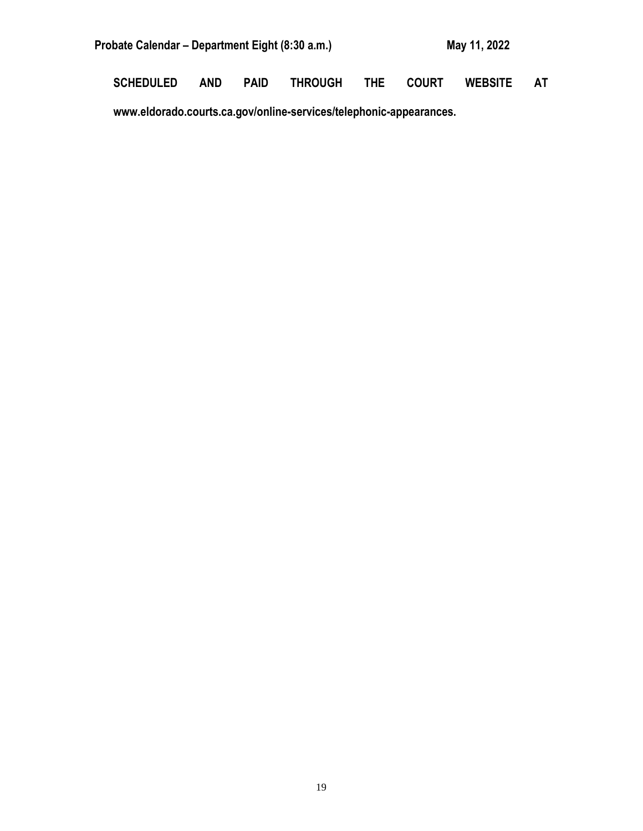| Probate Calendar – Department Eight (8:30 a.m.) | May 11, 2022 |  |
|-------------------------------------------------|--------------|--|
|                                                 |              |  |

**SCHEDULED AND PAID THROUGH THE COURT WEBSITE AT** 

**www.eldorado.courts.ca.gov/online-services/telephonic-appearances.**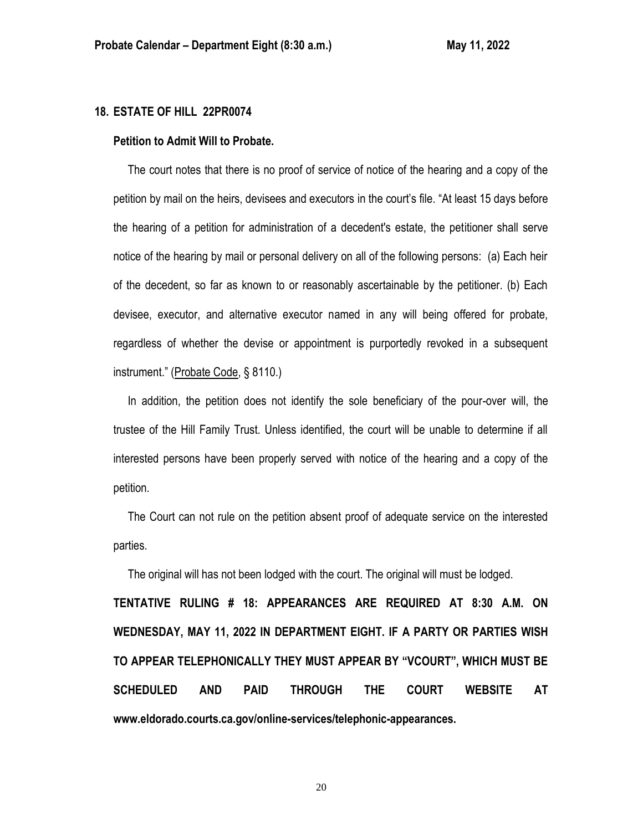### **18. ESTATE OF HILL 22PR0074**

#### **Petition to Admit Will to Probate.**

 The court notes that there is no proof of service of notice of the hearing and a copy of the petition by mail on the heirs, devisees and executors in the court's file. "At least 15 days before the hearing of a petition for administration of a decedent's estate, the petitioner shall serve notice of the hearing by mail or personal delivery on all of the following persons: (a) Each heir of the decedent, so far as known to or reasonably ascertainable by the petitioner. (b) Each devisee, executor, and alternative executor named in any will being offered for probate, regardless of whether the devise or appointment is purportedly revoked in a subsequent instrument." (Probate Code, § 8110.)

 In addition, the petition does not identify the sole beneficiary of the pour-over will, the trustee of the Hill Family Trust. Unless identified, the court will be unable to determine if all interested persons have been properly served with notice of the hearing and a copy of the petition.

 The Court can not rule on the petition absent proof of adequate service on the interested parties.

The original will has not been lodged with the court. The original will must be lodged.

**TENTATIVE RULING # 18: APPEARANCES ARE REQUIRED AT 8:30 A.M. ON WEDNESDAY, MAY 11, 2022 IN DEPARTMENT EIGHT. IF A PARTY OR PARTIES WISH TO APPEAR TELEPHONICALLY THEY MUST APPEAR BY "VCOURT", WHICH MUST BE SCHEDULED AND PAID THROUGH THE COURT WEBSITE AT www.eldorado.courts.ca.gov/online-services/telephonic-appearances.**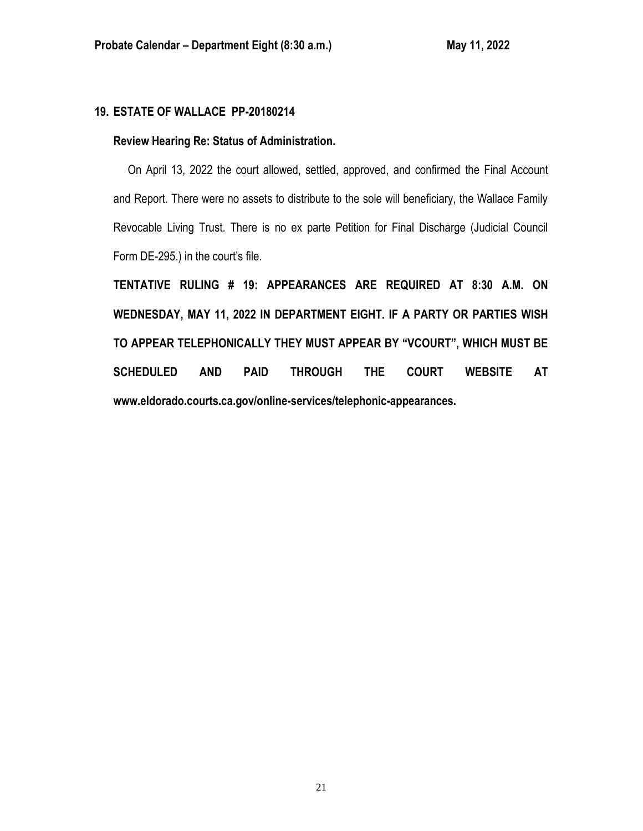### **19. ESTATE OF WALLACE PP-20180214**

### **Review Hearing Re: Status of Administration.**

 On April 13, 2022 the court allowed, settled, approved, and confirmed the Final Account and Report. There were no assets to distribute to the sole will beneficiary, the Wallace Family Revocable Living Trust. There is no ex parte Petition for Final Discharge (Judicial Council Form DE-295.) in the court's file.

**TENTATIVE RULING # 19: APPEARANCES ARE REQUIRED AT 8:30 A.M. ON WEDNESDAY, MAY 11, 2022 IN DEPARTMENT EIGHT. IF A PARTY OR PARTIES WISH TO APPEAR TELEPHONICALLY THEY MUST APPEAR BY "VCOURT", WHICH MUST BE SCHEDULED AND PAID THROUGH THE COURT WEBSITE AT www.eldorado.courts.ca.gov/online-services/telephonic-appearances.**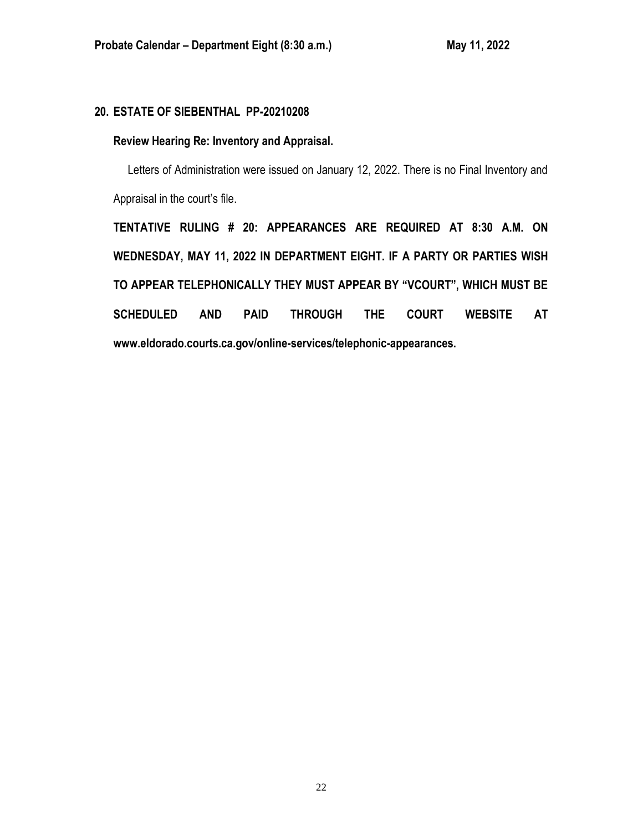# **20. ESTATE OF SIEBENTHAL PP-20210208**

## **Review Hearing Re: Inventory and Appraisal.**

Letters of Administration were issued on January 12, 2022. There is no Final Inventory and Appraisal in the court's file.

**TENTATIVE RULING # 20: APPEARANCES ARE REQUIRED AT 8:30 A.M. ON WEDNESDAY, MAY 11, 2022 IN DEPARTMENT EIGHT. IF A PARTY OR PARTIES WISH TO APPEAR TELEPHONICALLY THEY MUST APPEAR BY "VCOURT", WHICH MUST BE SCHEDULED AND PAID THROUGH THE COURT WEBSITE AT www.eldorado.courts.ca.gov/online-services/telephonic-appearances.**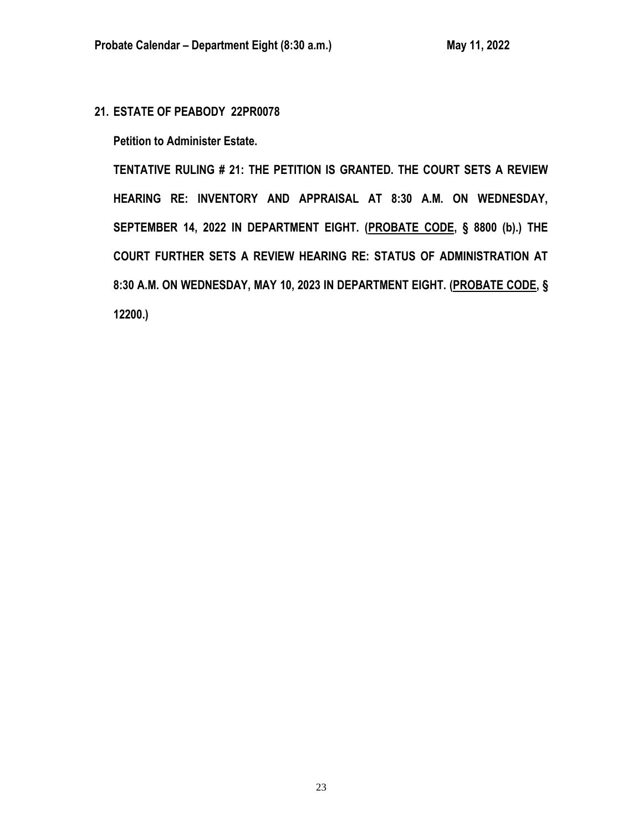**21. ESTATE OF PEABODY 22PR0078**

**Petition to Administer Estate.**

**TENTATIVE RULING # 21: THE PETITION IS GRANTED. THE COURT SETS A REVIEW HEARING RE: INVENTORY AND APPRAISAL AT 8:30 A.M. ON WEDNESDAY, SEPTEMBER 14, 2022 IN DEPARTMENT EIGHT. (PROBATE CODE, § 8800 (b).) THE COURT FURTHER SETS A REVIEW HEARING RE: STATUS OF ADMINISTRATION AT 8:30 A.M. ON WEDNESDAY, MAY 10, 2023 IN DEPARTMENT EIGHT. (PROBATE CODE, § 12200.)**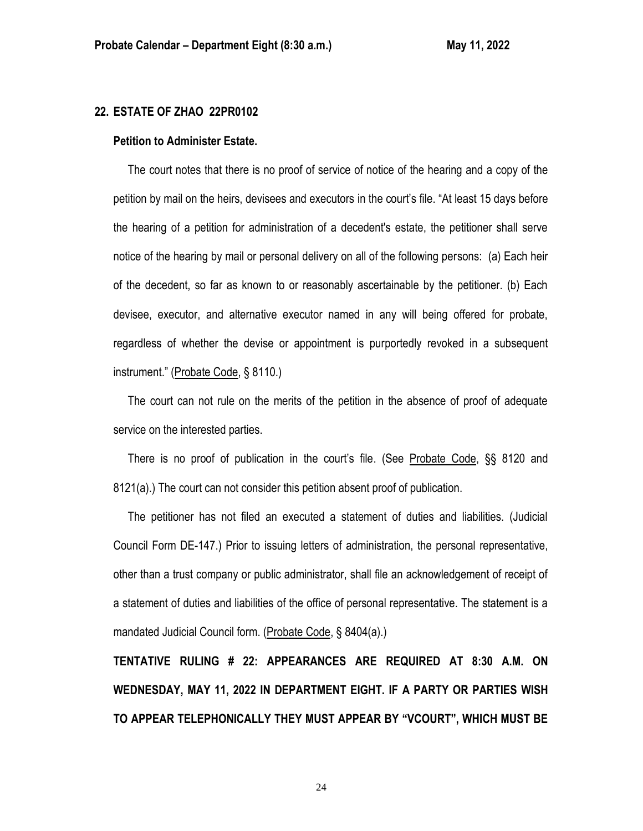### **22. ESTATE OF ZHAO 22PR0102**

#### **Petition to Administer Estate.**

 The court notes that there is no proof of service of notice of the hearing and a copy of the petition by mail on the heirs, devisees and executors in the court's file. "At least 15 days before the hearing of a petition for administration of a decedent's estate, the petitioner shall serve notice of the hearing by mail or personal delivery on all of the following persons: (a) Each heir of the decedent, so far as known to or reasonably ascertainable by the petitioner. (b) Each devisee, executor, and alternative executor named in any will being offered for probate, regardless of whether the devise or appointment is purportedly revoked in a subsequent instrument." (Probate Code, § 8110.)

 The court can not rule on the merits of the petition in the absence of proof of adequate service on the interested parties.

 There is no proof of publication in the court's file. (See Probate Code, §§ 8120 and 8121(a).) The court can not consider this petition absent proof of publication.

 The petitioner has not filed an executed a statement of duties and liabilities. (Judicial Council Form DE-147.) Prior to issuing letters of administration, the personal representative, other than a trust company or public administrator, shall file an acknowledgement of receipt of a statement of duties and liabilities of the office of personal representative. The statement is a mandated Judicial Council form. (Probate Code, § 8404(a).)

**TENTATIVE RULING # 22: APPEARANCES ARE REQUIRED AT 8:30 A.M. ON WEDNESDAY, MAY 11, 2022 IN DEPARTMENT EIGHT. IF A PARTY OR PARTIES WISH TO APPEAR TELEPHONICALLY THEY MUST APPEAR BY "VCOURT", WHICH MUST BE**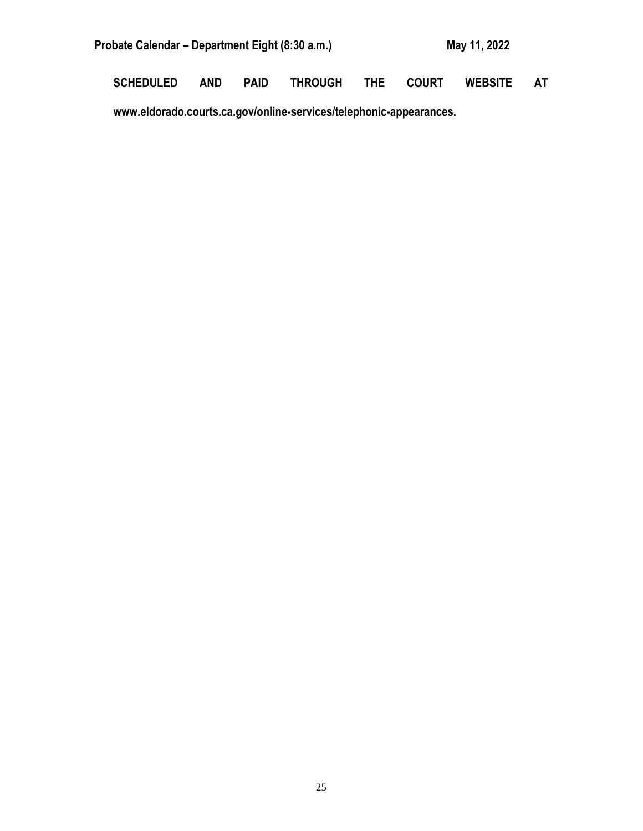| Probate Calendar – Department Eight (8:30 a.m.) | May 11, 2022 |  |
|-------------------------------------------------|--------------|--|
|                                                 |              |  |

**SCHEDULED AND PAID THROUGH THE COURT WEBSITE AT** 

**www.eldorado.courts.ca.gov/online-services/telephonic-appearances.**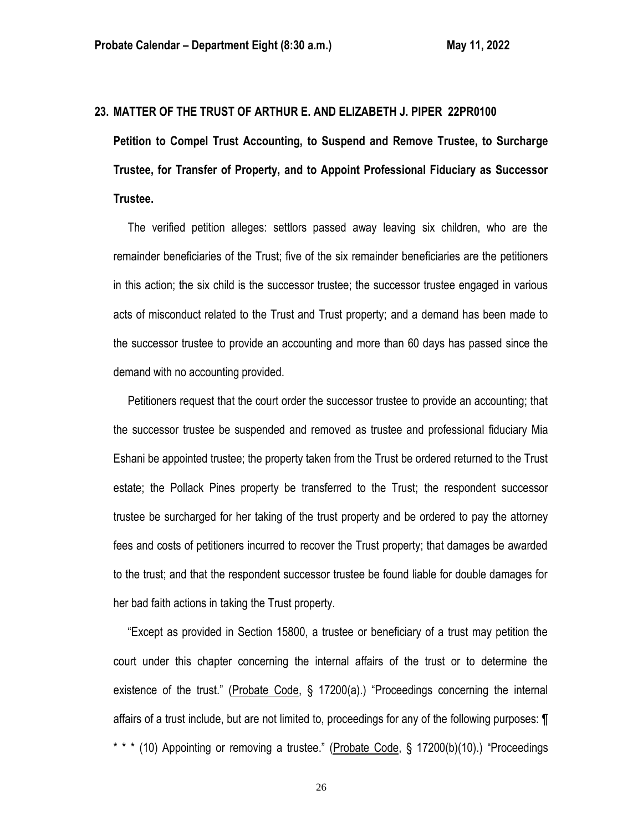#### **23. MATTER OF THE TRUST OF ARTHUR E. AND ELIZABETH J. PIPER 22PR0100**

**Petition to Compel Trust Accounting, to Suspend and Remove Trustee, to Surcharge Trustee, for Transfer of Property, and to Appoint Professional Fiduciary as Successor Trustee.**

 The verified petition alleges: settlors passed away leaving six children, who are the remainder beneficiaries of the Trust; five of the six remainder beneficiaries are the petitioners in this action; the six child is the successor trustee; the successor trustee engaged in various acts of misconduct related to the Trust and Trust property; and a demand has been made to the successor trustee to provide an accounting and more than 60 days has passed since the demand with no accounting provided.

 Petitioners request that the court order the successor trustee to provide an accounting; that the successor trustee be suspended and removed as trustee and professional fiduciary Mia Eshani be appointed trustee; the property taken from the Trust be ordered returned to the Trust estate; the Pollack Pines property be transferred to the Trust; the respondent successor trustee be surcharged for her taking of the trust property and be ordered to pay the attorney fees and costs of petitioners incurred to recover the Trust property; that damages be awarded to the trust; and that the respondent successor trustee be found liable for double damages for her bad faith actions in taking the Trust property.

 "Except as provided in Section 15800, a trustee or beneficiary of a trust may petition the court under this chapter concerning the internal affairs of the trust or to determine the existence of the trust." (Probate Code, § 17200(a).) "Proceedings concerning the internal affairs of a trust include, but are not limited to, proceedings for any of the following purposes: ¶ \* \* \* (10) Appointing or removing a trustee." (Probate Code, § 17200(b)(10).) "Proceedings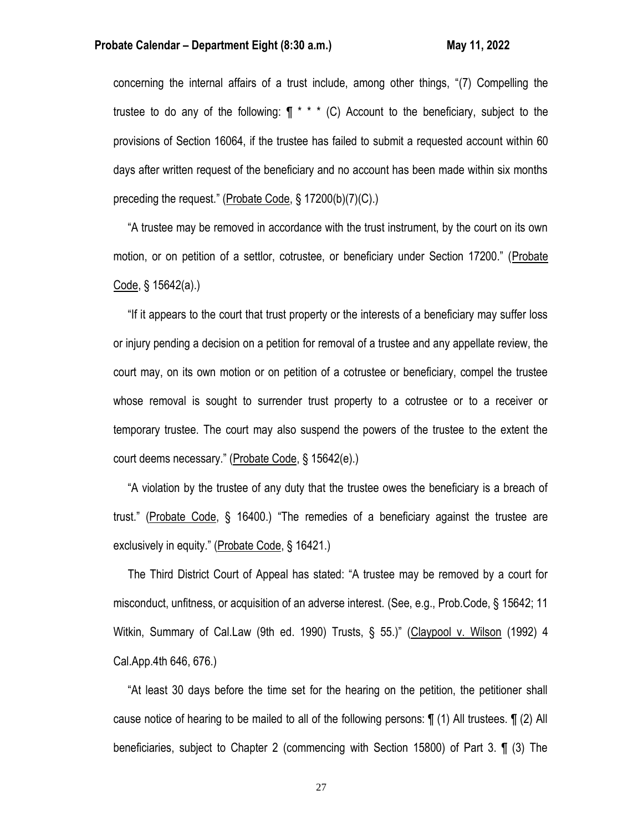#### **Probate Calendar – Department Eight (8:30 a.m.) May 11, 2022**

concerning the internal affairs of a trust include, among other things, "(7) Compelling the trustee to do any of the following:  $\P$  \* \* \* (C) Account to the beneficiary, subject to the provisions of Section 16064, if the trustee has failed to submit a requested account within 60 days after written request of the beneficiary and no account has been made within six months preceding the request." (Probate Code, § 17200(b)(7)(C).)

 "A trustee may be removed in accordance with the trust instrument, by the court on its own motion, or on petition of a settlor, cotrustee, or beneficiary under Section 17200." (Probate Code, § 15642(a).)

 "If it appears to the court that trust property or the interests of a beneficiary may suffer loss or injury pending a decision on a petition for removal of a trustee and any appellate review, the court may, on its own motion or on petition of a cotrustee or beneficiary, compel the trustee whose removal is sought to surrender trust property to a cotrustee or to a receiver or temporary trustee. The court may also suspend the powers of the trustee to the extent the court deems necessary." (Probate Code, § 15642(e).)

 "A violation by the trustee of any duty that the trustee owes the beneficiary is a breach of trust." (Probate Code, § 16400.) "The remedies of a beneficiary against the trustee are exclusively in equity." (Probate Code, § 16421.)

 The Third District Court of Appeal has stated: "A trustee may be removed by a court for misconduct, unfitness, or acquisition of an adverse interest. (See, e.g., Prob.Code, § 15642; 11 Witkin, Summary of Cal.Law (9th ed. 1990) Trusts, § 55.)" (Claypool v. Wilson (1992) 4 Cal.App.4th 646, 676.)

 "At least 30 days before the time set for the hearing on the petition, the petitioner shall cause notice of hearing to be mailed to all of the following persons: ¶ (1) All trustees. ¶ (2) All beneficiaries, subject to Chapter 2 (commencing with Section 15800) of Part 3. ¶ (3) The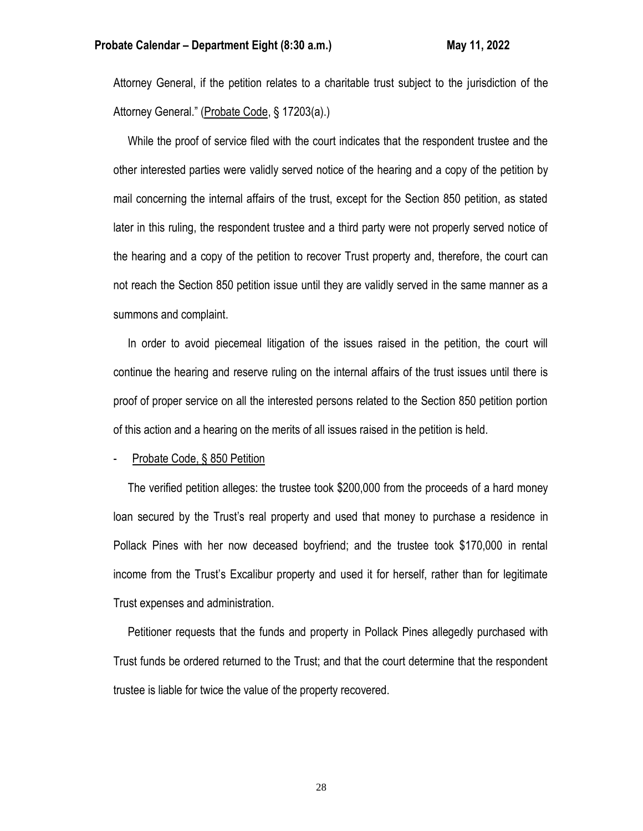Attorney General, if the petition relates to a charitable trust subject to the jurisdiction of the Attorney General." (Probate Code, § 17203(a).)

 While the proof of service filed with the court indicates that the respondent trustee and the other interested parties were validly served notice of the hearing and a copy of the petition by mail concerning the internal affairs of the trust, except for the Section 850 petition, as stated later in this ruling, the respondent trustee and a third party were not properly served notice of the hearing and a copy of the petition to recover Trust property and, therefore, the court can not reach the Section 850 petition issue until they are validly served in the same manner as a summons and complaint.

 In order to avoid piecemeal litigation of the issues raised in the petition, the court will continue the hearing and reserve ruling on the internal affairs of the trust issues until there is proof of proper service on all the interested persons related to the Section 850 petition portion of this action and a hearing on the merits of all issues raised in the petition is held.

Probate Code, § 850 Petition

 The verified petition alleges: the trustee took \$200,000 from the proceeds of a hard money loan secured by the Trust's real property and used that money to purchase a residence in Pollack Pines with her now deceased boyfriend; and the trustee took \$170,000 in rental income from the Trust's Excalibur property and used it for herself, rather than for legitimate Trust expenses and administration.

 Petitioner requests that the funds and property in Pollack Pines allegedly purchased with Trust funds be ordered returned to the Trust; and that the court determine that the respondent trustee is liable for twice the value of the property recovered.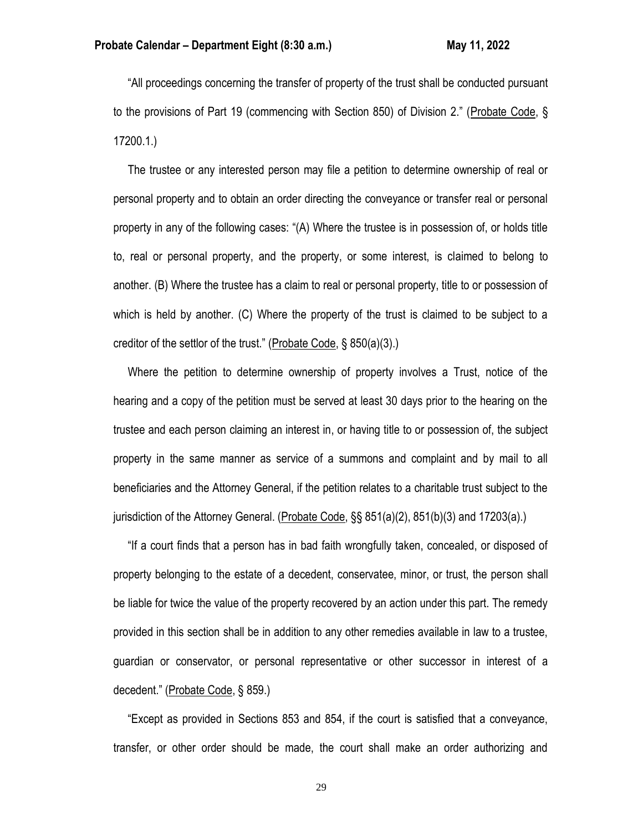"All proceedings concerning the transfer of property of the trust shall be conducted pursuant to the provisions of Part 19 (commencing with Section 850) of Division 2." (Probate Code, § 17200.1.)

 The trustee or any interested person may file a petition to determine ownership of real or personal property and to obtain an order directing the conveyance or transfer real or personal property in any of the following cases: "(A) Where the trustee is in possession of, or holds title to, real or personal property, and the property, or some interest, is claimed to belong to another. (B) Where the trustee has a claim to real or personal property, title to or possession of which is held by another. (C) Where the property of the trust is claimed to be subject to a creditor of the settlor of the trust." (Probate Code, § 850(a)(3).)

 Where the petition to determine ownership of property involves a Trust, notice of the hearing and a copy of the petition must be served at least 30 days prior to the hearing on the trustee and each person claiming an interest in, or having title to or possession of, the subject property in the same manner as service of a summons and complaint and by mail to all beneficiaries and the Attorney General, if the petition relates to a charitable trust subject to the jurisdiction of the Attorney General. (Probate Code, §§ 851(a)(2), 851(b)(3) and 17203(a).)

 "If a court finds that a person has in bad faith wrongfully taken, concealed, or disposed of property belonging to the estate of a decedent, conservatee, minor, or trust, the person shall be liable for twice the value of the property recovered by an action under this part. The remedy provided in this section shall be in addition to any other remedies available in law to a trustee, guardian or conservator, or personal representative or other successor in interest of a decedent." (Probate Code, § 859.)

 "Except as provided in Sections 853 and 854, if the court is satisfied that a conveyance, transfer, or other order should be made, the court shall make an order authorizing and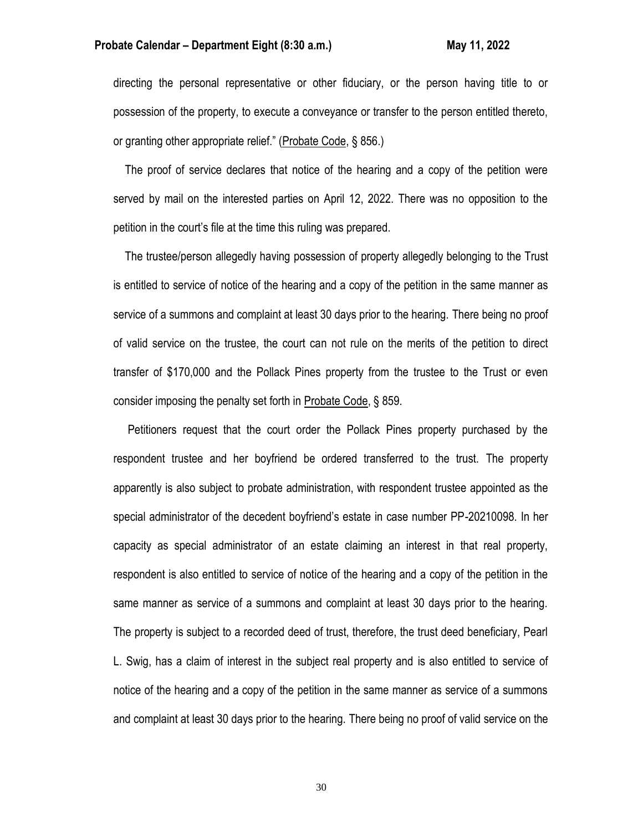#### **Probate Calendar – Department Eight (8:30 a.m.) May 11, 2022 May 11, 2022**

directing the personal representative or other fiduciary, or the person having title to or possession of the property, to execute a conveyance or transfer to the person entitled thereto, or granting other appropriate relief." (Probate Code, § 856.)

 The proof of service declares that notice of the hearing and a copy of the petition were served by mail on the interested parties on April 12, 2022. There was no opposition to the petition in the court's file at the time this ruling was prepared.

 The trustee/person allegedly having possession of property allegedly belonging to the Trust is entitled to service of notice of the hearing and a copy of the petition in the same manner as service of a summons and complaint at least 30 days prior to the hearing. There being no proof of valid service on the trustee, the court can not rule on the merits of the petition to direct transfer of \$170,000 and the Pollack Pines property from the trustee to the Trust or even consider imposing the penalty set forth in Probate Code, § 859.

 Petitioners request that the court order the Pollack Pines property purchased by the respondent trustee and her boyfriend be ordered transferred to the trust. The property apparently is also subject to probate administration, with respondent trustee appointed as the special administrator of the decedent boyfriend's estate in case number PP-20210098. In her capacity as special administrator of an estate claiming an interest in that real property, respondent is also entitled to service of notice of the hearing and a copy of the petition in the same manner as service of a summons and complaint at least 30 days prior to the hearing. The property is subject to a recorded deed of trust, therefore, the trust deed beneficiary, Pearl L. Swig, has a claim of interest in the subject real property and is also entitled to service of notice of the hearing and a copy of the petition in the same manner as service of a summons and complaint at least 30 days prior to the hearing. There being no proof of valid service on the